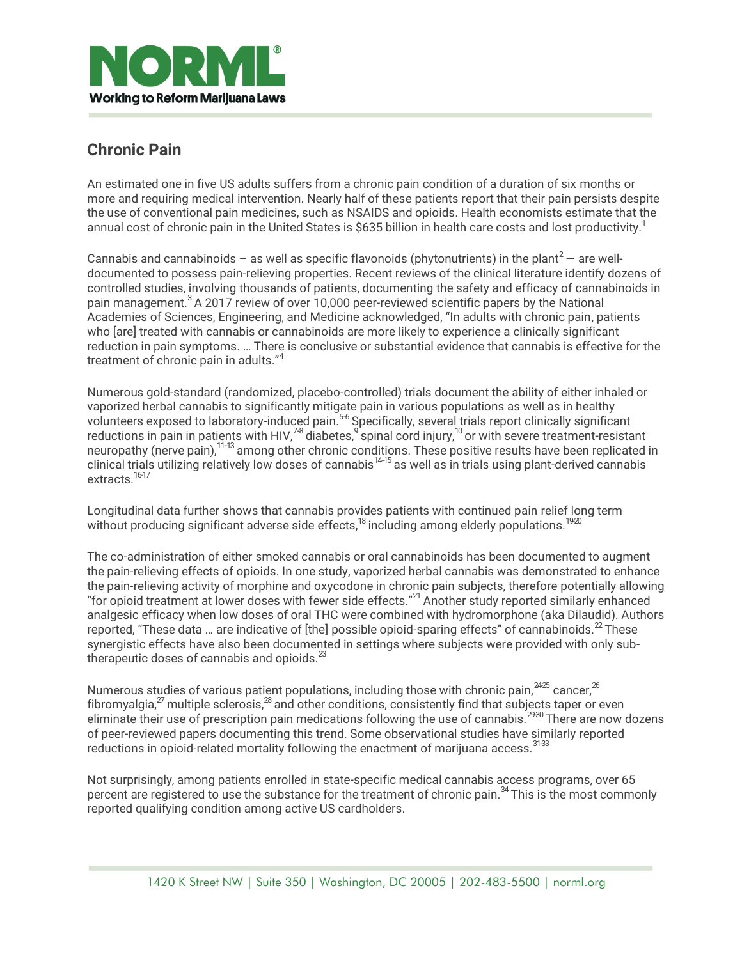

## **Chronic Pain**

An estimated one in five US adults suffers from a chronic pain condition of a duration of six months or more and requiring medical intervention. Nearly half of these patients report that their pain persists despite the use of conventional pain medicines, such as NSAIDS and opioids. Health economists estimate that the annual cost of chronic pain in the United States is \$635 billion in health care costs and lost productivity.<sup>1</sup>

Cannabis and cannabinoids – as well as specific flavonoids (phytonutrients) in the plant<sup>2</sup> – are welldocumented to possess pain-relieving properties. Recent reviews of the clinical literature identify dozens of controlled studies, involving thousands of patients, documenting the safety and efficacy of cannabinoids in pain management.<sup>3</sup> A 2017 review of over 10,000 peer-reviewed scientific papers by the National Academies of Sciences, Engineering, and Medicine acknowledged, "In adults with chronic pain, patients who [are] treated with cannabis or cannabinoids are more likely to experience a clinically significant reduction in pain symptoms. … There is conclusive or substantial evidence that cannabis is effective for the treatment of chronic pain in adults."<sup>4</sup>

Numerous gold-standard (randomized, placebo-controlled) trials document the ability of either inhaled or vaporized herbal cannabis to significantly mitigate pain in various populations as well as in healthy volunteers exposed to laboratory-induced pain.<sup>56</sup> Specifically, several trials report clinically significant reductions in pain in patients with HIV, $^{78}$  diabetes, $^9$  spinal cord injury, $^{10}$  or with severe treatment-resistant neuropathy (nerve pain),<sup>11-13</sup> among other chronic conditions. These positive results have been replicated in clinical trials utilizing relatively low doses of cannabis<sup>14-15</sup> as well as in trials using plant-derived cannabis extracts.<sup>16-17</sup>

Longitudinal data further shows that cannabis provides patients with continued pain relief long term without producing significant adverse side effects, $^{18}$  including among elderly populations. $^{1920}$ 

The co-administration of either smoked cannabis or oral cannabinoids has been documented to augment the pain-relieving effects of opioids. In one study, vaporized herbal cannabis was demonstrated to enhance the pain-relieving activity of morphine and oxycodone in chronic pain subjects, therefore potentially allowing "for opioid treatment at lower doses with fewer side effects."<sup>21</sup> Another study reported similarly enhanced analgesic efficacy when low doses of oral THC were combined with hydromorphone (aka Dilaudid). Authors reported, "These data ... are indicative of [the] possible opioid-sparing effects" of cannabinoids.  $^{2}$  These synergistic effects have also been documented in settings where subjects were provided with only subtherapeutic doses of cannabis and opioids. $^{23}$ 

Numerous studies of various patient populations, including those with chronic pain,  $2425$  cancer,  $26$ fibromyalgia, $^{27}$  multiple sclerosis, $^{28}$  and other conditions, consistently find that subjects taper or even eliminate their use of prescription pain medications following the use of cannabis.<sup>2930</sup> There are now dozens of peer-reviewed papers documenting this trend. Some observational studies have similarly reported reductions in opioid-related mortality following the enactment of marijuana access.<sup>31-33</sup>

Not surprisingly, among patients enrolled in state-specific medical cannabis access programs, over 65 percent are registered to use the substance for the treatment of chronic pain.<sup>34</sup> This is the most commonly reported qualifying condition among active US cardholders.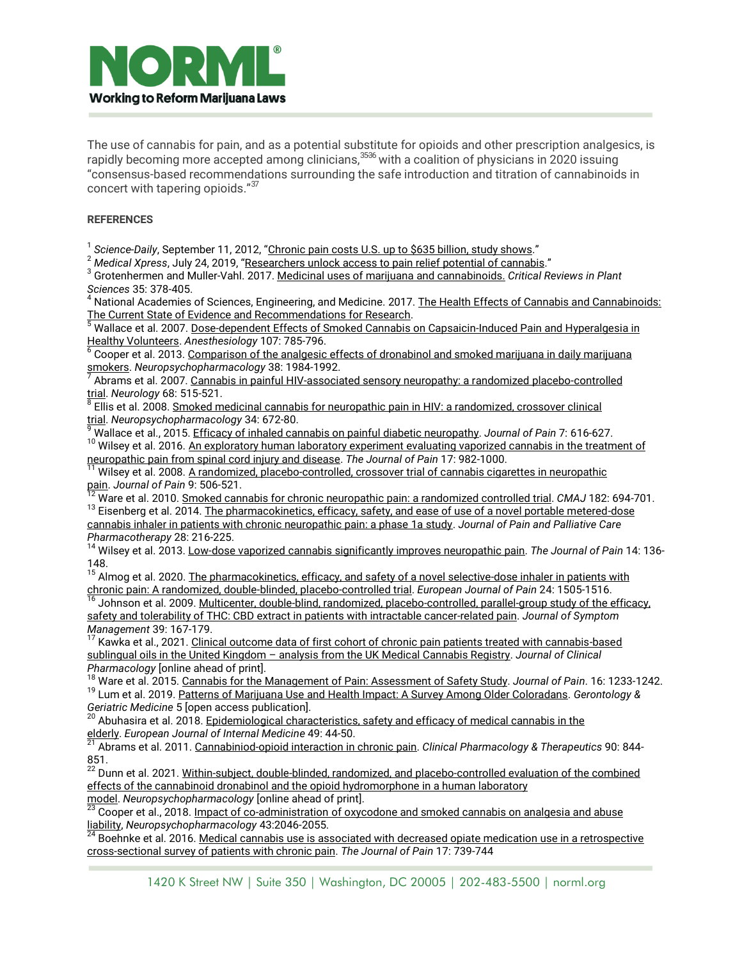

The use of cannabis for pain, and as a potential substitute for opioids and other prescription analgesics, is rapidly becoming more accepted among clinicians,<sup>3536</sup> with a coalition of physicians in 2020 issuing "consensus-based recommendations surrounding the safe introduction and titration of cannabinoids in concert with tapering opioids."<sup>37</sup>

## **REFERENCES**

<sup>1</sup> Science-Daily, September 11, 2012, "<u>[Chronic](https://www.sciencedaily.com/releases/2012/09/120911091100.htm) pain costs U.S. up to \$635 billion, study shows</u>."

<sup>2</sup> *Medical Xpress*, July 24, 2019, "[Researchers](https://medicalxpress.com/news/2019-07-access-pain-relief-potential-cannabis.html) unlock access to pain relief potential of cannabis."

3 Grotenhermen and Muller-Vahl. 2017. Medicinal uses of marijuana and [cannabinoids.](http://www.tandfonline.com/doi/abs/10.1080/07352689.2016.1265360?needAccess=true&journalCode=bpts20) *Critical Reviews in Plant Sciences* 35: 378-405.

<sup>4</sup> National Academies of Sciences, Engineering, and Medicine. 2017. The Health Effects of Cannabis and [Cannabinoids:](https://www.nap.edu/catalog/24625/the-health-effects-of-cannabis-and-cannabinoids-the-current-state) The Current State of Evidence and [Recommendations](https://www.nap.edu/catalog/24625/the-health-effects-of-cannabis-and-cannabinoids-the-current-state) for Research.

<sup>5</sup> Wallace et al. 2007. Dose-dependent Effects of Smoked Cannabis on [Capsaicin-Induced](http://anesthesiology.pubs.asahq.org/article.aspx?articleid=1931753) Pain and Hyperalgesia in Healthy [Volunteers.](http://anesthesiology.pubs.asahq.org/article.aspx?articleid=1931753) *Anesthesiology* 107: 785-796.

<sup>6</sup> Cooper et al. 2013. <u>[Comparison](http://www.ncbi.nlm.nih.gov/pubmed/23609132) of the analgesic effects of dronabinol and smoked marijuana in daily marijuana</u> [smokers.](http://www.ncbi.nlm.nih.gov/pubmed/23609132) *Neuropsychopharmacology* 38: 1984-1992. 7

Abrams et al. 2007. Cannabis in painful HIV-associated sensory neuropathy: a randomized [placebo-controlled](https://pubmed.ncbi.nlm.nih.gov/17296917/)

<mark>trial</mark>. Neurology 68: 515-521.<br><sup>8</sup> Ellis et al. 2008. <u>Smoked medicinal cannabis for neuropathic pain in HIV: a [randomized,](http://www.nature.com/npp/journal/v34/n3/abs/npp2008120a.html) crossover clinical</u> [trial.](http://www.nature.com/npp/journal/v34/n3/abs/npp2008120a.html) *Neuropsychopharmacology* 34: 672-80.

<sup>9</sup> Wallace et al., 2015. Efficacy of inhaled cannabis on painful diabetic [neuropathy.](http://www.ncbi.nlm.nih.gov/pubmed/25843054) *Journal of Pain* 7: 616-627.

<sup>10</sup> Wilsey et al. 2016. An [exploratory](http://www.ncbi.nlm.nih.gov/pubmed/27286745) human laboratory experiment evaluating vaporized cannabis in the treatment of [neuropathic](http://www.ncbi.nlm.nih.gov/pubmed/27286745) pain from spinal cord injury and disease. *The Journal of Pain* 17: 982-1000.

<sup>11</sup> Wilsey et al. 2008. <u>A randomized, [placebo-controlled,](http://www.ncbi.nlm.nih.gov/pubmed/18403272) crossover trial of cannabis cigarettes in neuropathic</u> [pain.](http://www.ncbi.nlm.nih.gov/pubmed/18403272) *Journal of Pain* 9: 506-521.

<sup>12</sup> Ware et al. 2010. Smoked cannabis for chronic [neuropathic](http://www.cmaj.ca/cgi/rapidpdf/cmaj.091414v1) pain: a randomized controlled trial. *CMAJ* 182: 694-701.

<sup>13</sup> Eisenberg et al. 2014. The pharmacokinetics, efficacy, safety, and ease of use of a novel portable metered-dose [cannabis inhaler in patients with chronic neuropathic pain: a phase 1a study.](http://www.ncbi.nlm.nih.gov/pubmed/25118789) *Journal of Pain and Palliative Care Pharmacotherapy* 28: 216-225.

<sup>14</sup> Wilsey et al. 2013. Low-dose vaporized cannabis [significantly](http://www.ncbi.nlm.nih.gov/pubmed/23237736) improves neuropathic pain. *The Journal of Pain* 14: 136- 148.

140.<br><sup>15</sup> Almog et al. 2020. <u>The [pharmacokinetics,](https://pubmed.ncbi.nlm.nih.gov/32445190/) efficacy, and safety of a novel selective-dose inhaler in patients with</u> chronic pain: A randomized, double-blinded, [placebo-controlled](https://pubmed.ncbi.nlm.nih.gov/32445190/) trial. *European Journal of Pain* 24: 1505-1516.

<sup>16</sup> Johnson et al. 2009. Multicenter, double-blind, randomized, [placebo-controlled,](http://www.ncbi.nlm.nih.gov/pubmed/19896326) parallel-group study of the efficacy, safety and tolerability of THC: CBD extract in patients with intractable [cancer-related](http://www.ncbi.nlm.nih.gov/pubmed/19896326) pain. *Journal of Symptom Management* 39: 167-179.

<sup>17</sup> Kawka et al., 2021. Clinical outcome data of first cohort of chronic pain patients treated with cannabis-based [sublingual oils in the United Kingdom](https://accp1.onlinelibrary.wiley.com/doi/10.1002/jcph.1961) – analysis from the UK Medical Cannabis Registry. *Journal of Clinical Pharmacology* [online ahead of print].

<sup>18</sup> Ware et al. 2015. Cannabis for the [Management](https://www.ncbi.nlm.nih.gov/pubmed/26385201) of Pain: Assessment of Safety Study. *Journal of Pain*. 16: 1233-1242. 19 Lum et al. 2019. Patterns of Marijuana Use and Health Impact: A Survey Among Older [Coloradans.](https://pubmed.ncbi.nlm.nih.gov/31065574/) *Gerontology & Geriatric Medicine* 5 [open access publication].

<sup>20</sup> Abuhasira et al. 2018. [Epidemiological](https://pubmed.ncbi.nlm.nih.gov/29398248/) characteristics, safety and efficacy of medical cannabis in the [elderly.](https://pubmed.ncbi.nlm.nih.gov/29398248/) *European Journal of Internal Medicine* 49: 44-50. 21

Abrams et al. 2011. [Cannabiniod-opioid](http://www.ncbi.nlm.nih.gov/pubmed/22048225) interaction in chronic pain. *Clinical Pharmacology & Therapeutics* 90: 844-

851.<br><sup>22</sup> Dunn et al. 2021. <u>Within-subject, double-blinded, randomized, and [placebo-controlled](https://www.ncbi.nlm.nih.gov/pmc/articles/PMC8055479/) evaluation of the combined</u> effects of the cannabinoid dronabinol and the opioid [hydromorphone](https://www.ncbi.nlm.nih.gov/pmc/articles/PMC8055479/) in a human laboratory

[model.](https://www.ncbi.nlm.nih.gov/pmc/articles/PMC8055479/) *Neuropsychopharmacology* [online ahead of print]. 23

Cooper et al., 2018. Impact of [co-administration](https://www.nature.com/articles/s41386-018-0011-2) of oxycodone and smoked cannabis on analgesia and abuse [liability,](https://www.nature.com/articles/s41386-018-0011-2) *Neuropsychopharmacology* 43:2046-2055. 24

Boehnke et al. 2016. Medical cannabis use is associated with decreased opiate medication use in a [retrospective](http://www.ncbi.nlm.nih.gov/pubmed/27001005) [cross-sectional](http://www.ncbi.nlm.nih.gov/pubmed/27001005) survey of patients with chronic pain. *The Journal of Pain* 17: 739-744